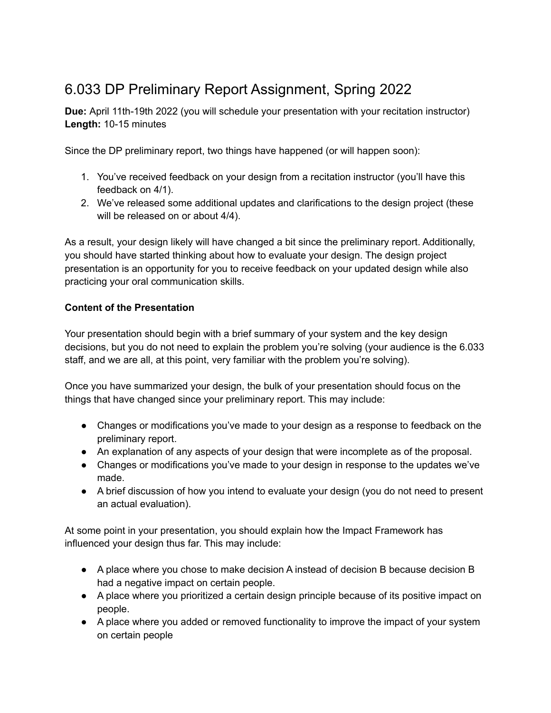## 6.033 DP Preliminary Report Assignment, Spring 2022

**Due:** April 11th-19th 2022 (you will schedule your presentation with your recitation instructor) **Length:** 10-15 minutes

Since the DP preliminary report, two things have happened (or will happen soon):

- 1. You've received feedback on your design from a recitation instructor (you'll have this feedback on 4/1).
- 2. We've released some additional updates and clarifications to the design project (these will be released on or about  $4/4$ ).

As a result, your design likely will have changed a bit since the preliminary report. Additionally, you should have started thinking about how to evaluate your design. The design project presentation is an opportunity for you to receive feedback on your updated design while also practicing your oral communication skills.

## **Content of the Presentation**

Your presentation should begin with a brief summary of your system and the key design decisions, but you do not need to explain the problem you're solving (your audience is the 6.033 staff, and we are all, at this point, very familiar with the problem you're solving).

Once you have summarized your design, the bulk of your presentation should focus on the things that have changed since your preliminary report. This may include:

- Changes or modifications you've made to your design as a response to feedback on the preliminary report.
- An explanation of any aspects of your design that were incomplete as of the proposal.
- Changes or modifications you've made to your design in response to the updates we've made.
- A brief discussion of how you intend to evaluate your design (you do not need to present an actual evaluation).

At some point in your presentation, you should explain how the Impact Framework has influenced your design thus far. This may include:

- A place where you chose to make decision A instead of decision B because decision B had a negative impact on certain people.
- A place where you prioritized a certain design principle because of its positive impact on people.
- A place where you added or removed functionality to improve the impact of your system on certain people